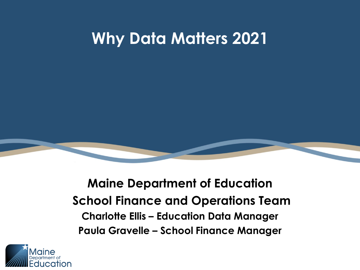## **Why Data Matters 2021**



#### **Maine Department of Education School Finance and Operations Team Charlotte Ellis – Education Data Manager Paula Gravelle – School Finance Manager**

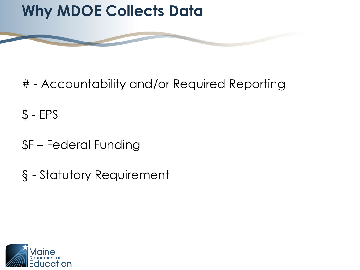# **Why MDOE Collects Data**



 $$ - EPS$ 

- \$F Federal Funding
- § Statutory Requirement

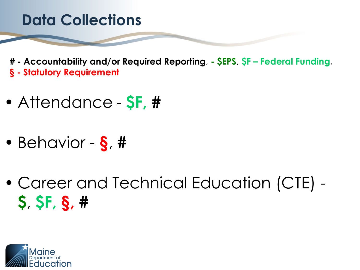- Attendance **\$F, #**
- Behavior **§**, **#**
- Career and Technical Education (CTE) **\$**, **\$F, §, #**

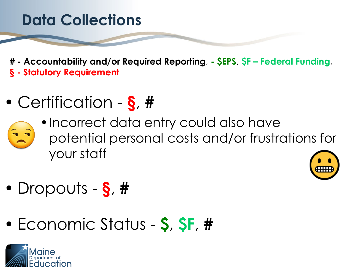- Certification **§**, **#**
	- •Incorrect data entry could also have
		- potential personal costs and/or frustrations for your staff



- Dropouts **§**, **#**
- Economic Status **\$**, **\$F**, **#**

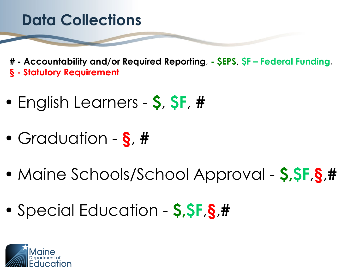- English Learners **\$**, **\$F**, **#**
- Graduation **§**, **#**
- Maine Schools/School Approval **\$,\$F**,**§**,**#**
- Special Education **\$,\$F**,**§**,**#**

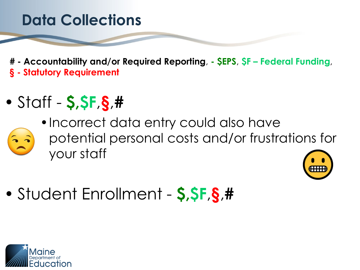**# - Accountability and/or Required Reporting**, **- \$EPS**, **\$F – Federal Funding**, **§ - Statutory Requirement**

- Staff **\$,\$F**,**§**,**#**
	- •Incorrect data entry could also have
	- potential personal costs and/or frustrations for your staff



• Student Enrollment - **\$,\$F**,**§**,**#**

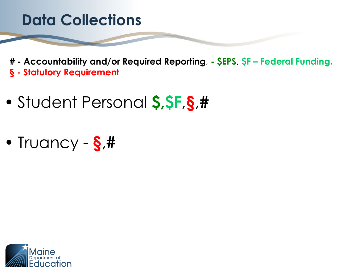- Student Personal **\$,\$F**,**§**,**#**
- Truancy **§**,**#**

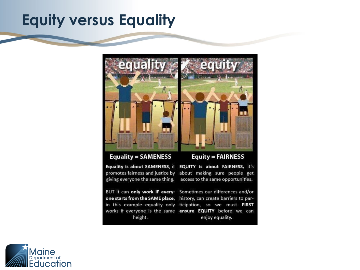#### **Equity versus Equality**



**Equality = SAMENESS** 

**Equity = FAIRNESS** 

Equality is about SAMENESS, it EQUITY is about FAIRNESS, it's

promotes fairness and justice by about making sure people get giving everyone the same thing. access to the same opportunities.

BUT it can only work IF every- Sometimes our differences and/or height.

one starts from the SAME place, history, can create barriers to parin this example equality only ticipation, so we must FIRST works if everyone is the same ensure EQUITY before we can enjoy equality.

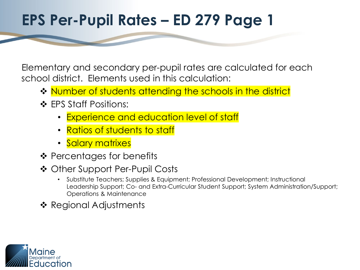### **EPS Per-Pupil Rates – ED 279 Page 1**

Elementary and secondary per-pupil rates are calculated for each school district. Elements used in this calculation:

- ❖ Number of students attending the schools in the district
- ❖ EPS Staff Positions:
	- **Experience and education level of staff**
	- Ratios of students to staff
	- Salary matrixes
- $\triangle$  Percentages for benefits
- ❖ Other Support Per-Pupil Costs
	- Substitute Teachers; Supplies & Equipment; Professional Development; Instructional Leadership Support; Co- and Extra-Curricular Student Support; System Administration/Support; Operations & Maintenance
- ❖ Regional Adjustments

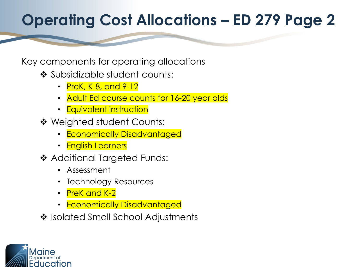# **Operating Cost Allocations – ED 279 Page 2**

#### Key components for operating allocations

- ❖ Subsidizable student counts:
	- PreK, K-8, and 9-12
	- Adult Ed course counts for 16-20 year olds
	- Equivalent instruction
- Weighted student Counts:
	- Economically Disadvantaged
	- English Learners
- **❖ Additional Targeted Funds:** 
	- Assessment
	- Technology Resources
	- PreK and K-2
	- Economically Disadvantaged
- ❖ Isolated Small School Adjustments

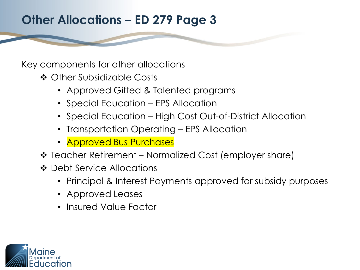#### **Other Allocations – ED 279 Page 3**

Key components for other allocations

- Other Subsidizable Costs
	- Approved Gifted & Talented programs
	- Special Education EPS Allocation
	- Special Education High Cost Out-of-District Allocation
	- Transportation Operating EPS Allocation
	- **Approved Bus Purchases**
- Teacher Retirement Normalized Cost (employer share)
- ❖ Debt Service Allocations
	- Principal & Interest Payments approved for subsidy purposes
	- Approved Leases
	- Insured Value Factor

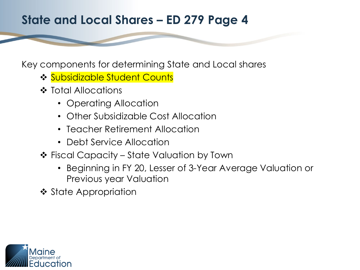#### **State and Local Shares – ED 279 Page 4**

Key components for determining State and Local shares

- **❖ Subsidizable Student Counts**
- ❖ Total Allocations
	- Operating Allocation
	- Other Subsidizable Cost Allocation
	- Teacher Retirement Allocation
	- Debt Service Allocation
- Fiscal Capacity State Valuation by Town
	- Beginning in FY 20, Lesser of 3-Year Average Valuation or Previous year Valuation
- ❖ State Appropriation

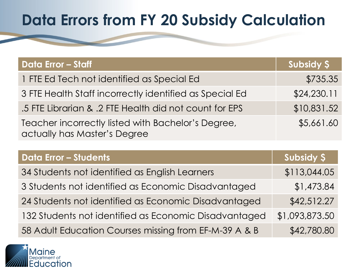# **Data Errors from FY 20 Subsidy Calculation**

| <b>Data Error - Staff</b>                                                          | Subsidy \$  |
|------------------------------------------------------------------------------------|-------------|
| 1 FTE Ed Tech not identified as Special Ed                                         | \$735.35    |
| 3 FTE Health Staff incorrectly identified as Special Ed                            | \$24,230.11 |
| 5. 5 FTE Librarian & .2 FTE Health did not count for EPS                           | \$10,831.52 |
| Teacher incorrectly listed with Bachelor's Degree,<br>actually has Master's Degree | \$5,661.60  |

| <b>Data Error - Students</b>                          | Subsidy \$     |
|-------------------------------------------------------|----------------|
| 34 Students not identified as English Learners        | \$113,044.05   |
| 3 Students not identified as Economic Disadvantaged   | \$1,473.84     |
| 24 Students not identified as Economic Disadvantaged  | \$42,512.27    |
| 132 Students not identified as Economic Disadvantaged | \$1,093,873.50 |
| 58 Adult Education Courses missing from EF-M-39 A & B | \$42,780.80    |

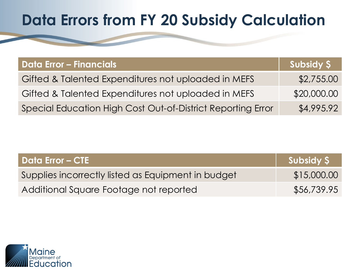# **Data Errors from FY 20 Subsidy Calculation**

| Data Error – Financials                                     | Subsidy S   |
|-------------------------------------------------------------|-------------|
| Gifted & Talented Expenditures not uploaded in MEFS         | \$2,755.00  |
| Gifted & Talented Expenditures not uploaded in MEFS         | \$20,000.00 |
| Special Education High Cost Out-of-District Reporting Error | \$4,995.92  |

| Data Error – CTE                                   | Subsidy \$  |
|----------------------------------------------------|-------------|
| Supplies incorrectly listed as Equipment in budget | \$15,000.00 |
| Additional Square Footage not reported             | \$56,739.95 |